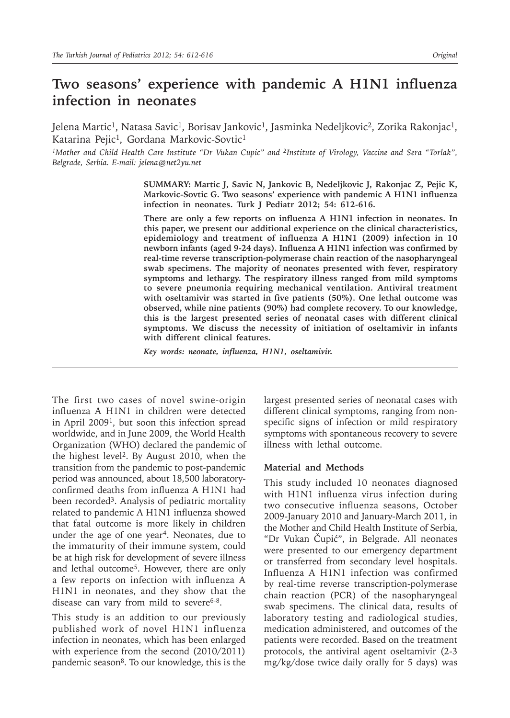# **Two seasons' experience with pandemic A H1N1 influenza infection in neonates**

Jelena Martic<sup>1</sup>, Natasa Savic<sup>1</sup>, Borisav Jankovic<sup>1</sup>, Jasminka Nedeljkovic<sup>2</sup>, Zorika Rakonjac<sup>1</sup>, Katarina Pejic<sup>1</sup>, Gordana Markovic-Sovtic<sup>1</sup>

<sup>1</sup>Mother and Child Health Care Institute "Dr Vukan Cupic" and <sup>2</sup>Institute of Virology, Vaccine and Sera "Torlak", *Belgrade, Serbia. E-mail: jelena@net2yu.net*

> **SUMMARY: Martic J, Savic N, Jankovic B, Nedeljkovic J, Rakonjac Z, Pejic K, Markovic-Sovtic G. Two seasons' experience with pandemic A H1N1 influenza infection in neonates. Turk J Pediatr 2012; 54: 612-616.**

> **There are only a few reports on influenza A H1N1 infection in neonates. In this paper, we present our additional experience on the clinical characteristics, epidemiology and treatment of influenza A H1N1 (2009) infection in 10 newborn infants (aged 9-24 days). Influenza A H1N1 infection was confirmed by real-time reverse transcription-polymerase chain reaction of the nasopharyngeal swab specimens. The majority of neonates presented with fever, respiratory symptoms and lethargy. The respiratory illness ranged from mild symptoms to severe pneumonia requiring mechanical ventilation. Antiviral treatment with oseltamivir was started in five patients (50%). One lethal outcome was observed, while nine patients (90%) had complete recovery. To our knowledge, this is the largest presented series of neonatal cases with different clinical symptoms. We discuss the necessity of initiation of oseltamivir in infants with different clinical features.**

*Key words: neonate, influenza, H1N1, oseltamivir.*

The first two cases of novel swine-origin influenza A H1N1 in children were detected in April 20091, but soon this infection spread worldwide, and in June 2009, the World Health Organization (WHO) declared the pandemic of the highest level2. By August 2010, when the transition from the pandemic to post-pandemic period was announced, about 18,500 laboratoryconfirmed deaths from influenza A H1N1 had been recorded<sup>3</sup>. Analysis of pediatric mortality related to pandemic A H1N1 influenza showed that fatal outcome is more likely in children under the age of one year<sup>4</sup>. Neonates, due to the immaturity of their immune system, could be at high risk for development of severe illness and lethal outcome<sup>5</sup>. However, there are only a few reports on infection with influenza A H1N1 in neonates, and they show that the disease can vary from mild to severe $6-8$ .

This study is an addition to our previously published work of novel H1N1 influenza infection in neonates, which has been enlarged with experience from the second (2010/2011) pandemic season<sup>8</sup>. To our knowledge, this is the

largest presented series of neonatal cases with different clinical symptoms, ranging from nonspecific signs of infection or mild respiratory symptoms with spontaneous recovery to severe illness with lethal outcome.

#### **Material and Methods**

This study included 10 neonates diagnosed with H1N1 influenza virus infection during two consecutive influenza seasons, October 2009-January 2010 and January-March 2011, in the Mother and Child Health Institute of Serbia, "Dr Vukan Čupić", in Belgrade. All neonates were presented to our emergency department or transferred from secondary level hospitals. Influenza A H1N1 infection was confirmed by real-time reverse transcription-polymerase chain reaction (PCR) of the nasopharyngeal swab specimens. The clinical data, results of laboratory testing and radiological studies, medication administered, and outcomes of the patients were recorded. Based on the treatment protocols, the antiviral agent oseltamivir (2-3 mg/kg/dose twice daily orally for 5 days) was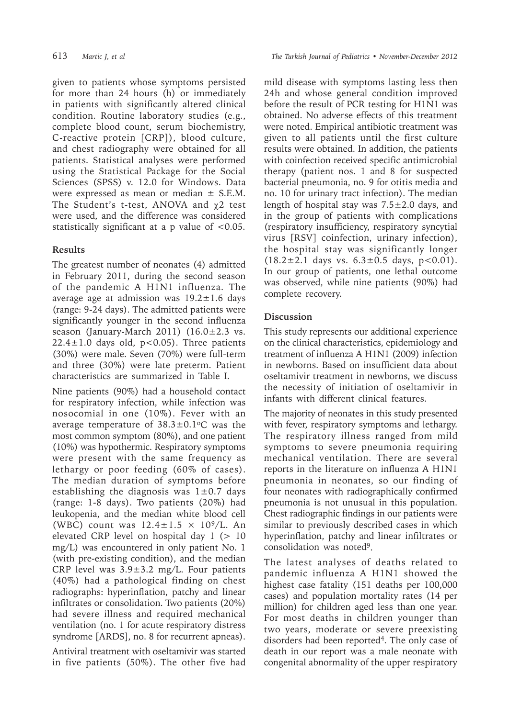given to patients whose symptoms persisted for more than 24 hours (h) or immediately in patients with significantly altered clinical condition. Routine laboratory studies (e.g., complete blood count, serum biochemistry, C-reactive protein [CRP]), blood culture, and chest radiography were obtained for all patients. Statistical analyses were performed using the Statistical Package for the Social Sciences (SPSS) v. 12.0 for Windows. Data were expressed as mean or median  $\pm$  S.E.M. The Student's t-test, ANOVA and χ2 test were used, and the difference was considered statistically significant at a p value of <0.05.

### **Results**

The greatest number of neonates (4) admitted in February 2011, during the second season of the pandemic A H1N1 influenza. The average age at admission was  $19.2 \pm 1.6$  days (range: 9-24 days). The admitted patients were significantly younger in the second influenza season (January-March 2011)  $(16.0 \pm 2.3 \text{ vs.})$  $22.4 \pm 1.0$  days old, p<0.05). Three patients (30%) were male. Seven (70%) were full-term and three (30%) were late preterm. Patient characteristics are summarized in Table I.

Nine patients (90%) had a household contact for respiratory infection, while infection was nosocomial in one (10%). Fever with an average temperature of  $38.3 \pm 0.1$ °C was the most common symptom (80%), and one patient (10%) was hypothermic. Respiratory symptoms were present with the same frequency as lethargy or poor feeding (60% of cases). The median duration of symptoms before establishing the diagnosis was  $1\pm0.7$  days (range: 1-8 days). Two patients (20%) had leukopenia, and the median white blood cell (WBC) count was  $12.4 \pm 1.5 \times 10^9$ /L. An elevated CRP level on hospital day  $1$  ( $> 10$ mg/L) was encountered in only patient No. 1 (with pre-existing condition), and the median CRP level was  $3.9 \pm 3.2$  mg/L. Four patients (40%) had a pathological finding on chest radiographs: hyperinflation, patchy and linear infiltrates or consolidation. Two patients (20%) had severe illness and required mechanical ventilation (no. 1 for acute respiratory distress syndrome [ARDS], no. 8 for recurrent apneas).

Antiviral treatment with oseltamivir was started in five patients (50%). The other five had mild disease with symptoms lasting less then 24h and whose general condition improved before the result of PCR testing for H1N1 was obtained. No adverse effects of this treatment were noted. Empirical antibiotic treatment was given to all patients until the first culture results were obtained. In addition, the patients with coinfection received specific antimicrobial therapy (patient nos. 1 and 8 for suspected bacterial pneumonia, no. 9 for otitis media and no. 10 for urinary tract infection). The median length of hospital stay was  $7.5 \pm 2.0$  days, and in the group of patients with complications (respiratory insufficiency, respiratory syncytial virus [RSV] coinfection, urinary infection), the hospital stay was significantly longer  $(18.2 \pm 2.1$  days vs.  $6.3 \pm 0.5$  days,  $p < 0.01$ ). In our group of patients, one lethal outcome was observed, while nine patients (90%) had complete recovery.

## **Discussion**

This study represents our additional experience on the clinical characteristics, epidemiology and treatment of influenza A H1N1 (2009) infection in newborns. Based on insufficient data about oseltamivir treatment in newborns, we discuss the necessity of initiation of oseltamivir in infants with different clinical features.

The majority of neonates in this study presented with fever, respiratory symptoms and lethargy. The respiratory illness ranged from mild symptoms to severe pneumonia requiring mechanical ventilation. There are several reports in the literature on influenza A H1N1 pneumonia in neonates, so our finding of four neonates with radiographically confirmed pneumonia is not unusual in this population. Chest radiographic findings in our patients were similar to previously described cases in which hyperinflation, patchy and linear infiltrates or consolidation was noted9.

The latest analyses of deaths related to pandemic influenza A H1N1 showed the highest case fatality (151 deaths per 100,000 cases) and population mortality rates (14 per million) for children aged less than one year. For most deaths in children younger than two years, moderate or severe preexisting disorders had been reported4. The only case of death in our report was a male neonate with congenital abnormality of the upper respiratory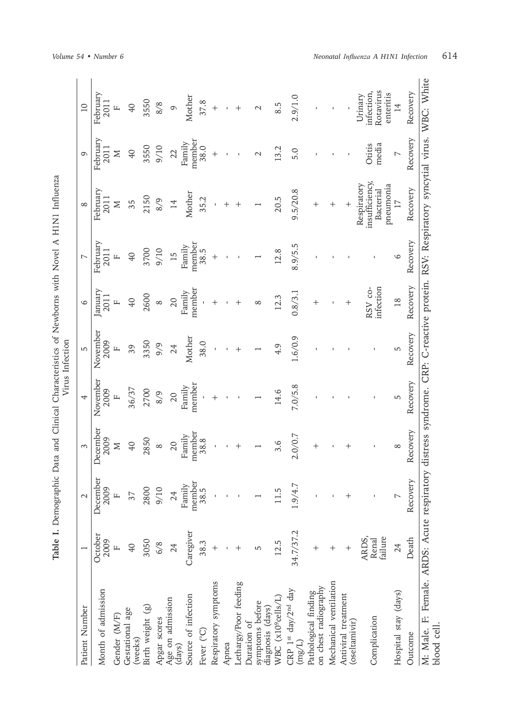| Patient Number                                                                                                                           |                           | $\mathbf{\sim}$  | 3                |                  | 5                | 6                     | L                | $\infty$                                                | $\sigma$           | $\overline{10}$                                |
|------------------------------------------------------------------------------------------------------------------------------------------|---------------------------|------------------|------------------|------------------|------------------|-----------------------|------------------|---------------------------------------------------------|--------------------|------------------------------------------------|
| Month of admission                                                                                                                       | October<br>2009           | December<br>2009 | December<br>2009 | November<br>2009 | November<br>2009 | anuary<br><b>2011</b> | February<br>2011 | February<br>2011                                        | February<br>2011   | February<br>2011                               |
| Gender (M/F)                                                                                                                             |                           | $\mathbf{L}$     | Σ                | Щ                | $\mathbf{L}$     |                       |                  | Σ                                                       | Σ                  |                                                |
| Gestational age<br>(weeks)                                                                                                               | 40                        | 37               | $\overline{40}$  | 36/37            | 39               | $\overline{40}$       | 40               | 35                                                      | 40                 | $\overline{0}$                                 |
| Birth weight (g)                                                                                                                         | 3050                      | 2800             | 2850             | 2700             | 3350             | 2600                  | 3700             | 2150                                                    | 3550               | 3550                                           |
| Apgar scores                                                                                                                             | 6/8                       | 9/10             | $\infty$         | 8/9              | 9/9              | $\infty$              | 9/10             | 8/9                                                     | 9/10               | 8/8                                            |
| Age on admission<br>(days)                                                                                                               | 24                        | 24               | 20               | 20               | 24               | 20                    | 15               | 14                                                      | 22                 | $\sigma$                                       |
| Source of infection                                                                                                                      | Caregiver                 | member<br>Family | member<br>Family | member<br>Family | Mother           | member<br>Family      | Family           | Mother                                                  | member<br>Family   | Mother                                         |
| Fever (°C)                                                                                                                               | 38.3                      | 38.5             | 38.8             |                  | 38.0             |                       | member<br>38.5   | 35.2                                                    | 38.0               | 37.8                                           |
| Respiratory symptoms                                                                                                                     |                           |                  |                  |                  |                  | $^+$                  |                  |                                                         | $\ddag$            | $^{+}$                                         |
| Apnea                                                                                                                                    |                           |                  |                  |                  |                  |                       |                  |                                                         |                    |                                                |
| Lethargy/Poor feeding                                                                                                                    |                           |                  |                  |                  |                  |                       |                  |                                                         |                    |                                                |
| symptoms before<br>diagnosis (days)<br>Duration of                                                                                       | 5                         |                  |                  |                  |                  | ∞                     |                  |                                                         | $\scriptstyle\sim$ |                                                |
| WBC (x10 <sup>9</sup> cells/L)                                                                                                           | 12.5                      | 11.5             | 3.6              | 14.6             | 4.9              | 12.3                  | 12.8             | 20.5                                                    | 13.2               | 8.5                                            |
| CRP 1st day/2nd day<br>$\rm (mg/L)$                                                                                                      | 34.7/37.2                 | 1.9/4.7          | 2.0/0.7          | 7.0/5.8          | 1.6/0.9          | 0.8/3.1               | 8.9/5.5          | 9.5/20.8                                                | 5.0                | 2.9/1.0                                        |
| on chest radiography<br>Pathological finding                                                                                             |                           |                  | $^+$             |                  |                  | $\hspace{0.1mm} +$    |                  | $^+$                                                    |                    |                                                |
| Mechanical ventilation                                                                                                                   | $\hspace{0.1mm} +$        |                  |                  |                  |                  |                       |                  | $^+$                                                    |                    |                                                |
| Antiviral treatment<br>(oseltamivir)                                                                                                     | $\,{}^+$                  |                  |                  |                  |                  | $\,{}^+$              |                  | $\ddot{}$                                               |                    |                                                |
| Complication                                                                                                                             | failure<br>ARDS,<br>Renal |                  |                  |                  |                  | RSV co-<br>infection  |                  | insufficiency,<br>pneumonia<br>Respiratory<br>Bacterial | media<br>Otitis    | Rotavirus<br>enteritis<br>infection<br>Urinary |
| Hospital stay (days)                                                                                                                     | 24                        | $\overline{ }$   | $\infty$         | 5                | 5                | 18                    | 6                | $\overline{11}$                                         | $\overline{ }$     | $\overline{14}$                                |
| Outcome                                                                                                                                  | Death                     | Recovery         | Recovery         | Recovery         | Recovery         | Recovery              | Recovery         | Recovery                                                | Recovery           | Recovery                                       |
| M: Male. F: Female. ARDS: Acute respiratory distress syndrome. CRP: C-reactive protein. RSV: Respiratory syncytial virus.<br>blood cell. |                           |                  |                  |                  |                  |                       |                  |                                                         |                    | WBC: White                                     |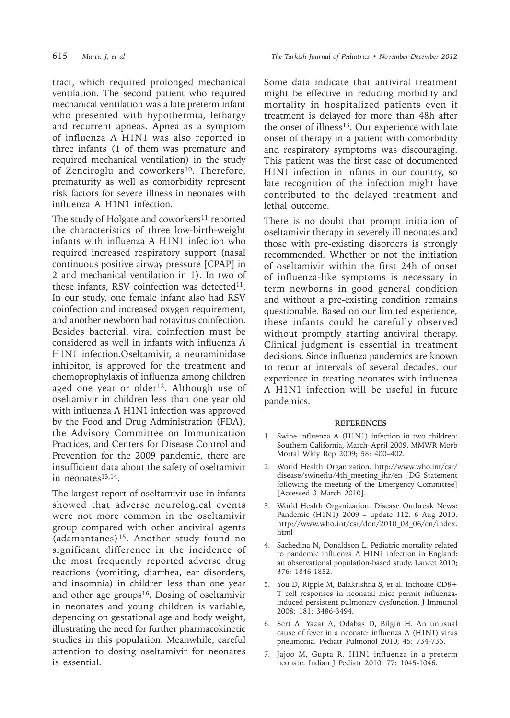tract, which required prolonged mechanical ventilation. The second patient who required mechanical ventilation was a late preterm infant who presented with hypothermia, lethargy and recurrent apneas. Apnea as a symptom of influenza A H1N1 was also reported in three infants (1 of them was premature and required mechanical ventilation) in the study of Zenciroglu and coworkers<sup>10</sup>. Therefore, prematurity as well as comorbidity represent risk factors for severe illness in neonates with influenza A H1N1 infection.

The study of Holgate and coworkers<sup>11</sup> reported the characteristics of three low-birth-weight infants with influenza A H1N1 infection who required increased respiratory support (nasal continuous positive airway pressure [CPAP] in 2 and mechanical ventilation in 1). In two of these infants, RSV coinfection was detected $11$ . In our study, one female infant also had RSV coinfection and increased oxygen requirement, and another newborn had rotavirus coinfection. Besides bacterial, viral coinfection must be considered as well in infants with influenza A H1N1 infection.Oseltamivir, a neuraminidase inhibitor, is approved for the treatment and chemoprophylaxis of influenza among children aged one year or older<sup>12</sup>. Although use of oseltamivir in children less than one year old with influenza A H1N1 infection was approved by the Food and Drug Administration (FDA), the Advisory Committee on Immunization Practices, and Centers for Disease Control and Prevention for the 2009 pandemic, there are insufficient data about the safety of oseltamivir in neonates $13,14$ .

The largest report of oseltamivir use in infants showed that adverse neurological events were not more common in the oseltamivir group compared with other antiviral agents (adamantanes)15. Another study found no significant difference in the incidence of the most frequently reported adverse drug reactions (vomiting, diarrhea, ear disorders, and insomnia) in children less than one year and other age groups<sup>16</sup>. Dosing of oseltamivir in neonates and young children is variable, depending on gestational age and body weight, illustrating the need for further pharmacokinetic studies in this population. Meanwhile, careful attention to dosing oseltamivir for neonates is essential.

615 *Martic J, et al The Turkish Journal of Pediatrics • November-December 2012*

Some data indicate that antiviral treatment might be effective in reducing morbidity and mortality in hospitalized patients even if treatment is delayed for more than 48h after the onset of illness<sup>13</sup>. Our experience with late onset of therapy in a patient with comorbidity and respiratory symptoms was discouraging. This patient was the first case of documented H1N1 infection in infants in our country, so late recognition of the infection might have contributed to the delayed treatment and lethal outcome.

There is no doubt that prompt initiation of oseltamivir therapy in severely ill neonates and those with pre-existing disorders is strongly recommended. Whether or not the initiation of oseltamivir within the first 24h of onset of influenza-like symptoms is necessary in term newborns in good general condition and without a pre-existing condition remains questionable. Based on our limited experience, these infants could be carefully observed without promptly starting antiviral therapy. Clinical judgment is essential in treatment decisions. Since influenza pandemics are known to recur at intervals of several decades, our experience in treating neonates with influenza A H1N1 infection will be useful in future pandemics.

#### **REFERENCES**

- 1. Swine influenza A (H1N1) infection in two children: Southern California, March–April 2009. MMWR Morb Mortal Wkly Rep 2009; 58: 400–402.
- 2. World Health Organization. http://www.who.int/csr/ disease/swineflu/4th\_meeting\_ihr/en [DG Statement following the meeting of the Emergency Committee] [Accessed 3 March 2010].
- 3. World Health Organization. Disease Outbreak News: Pandemic (H1N1) 2009 – update 112. 6 Aug 2010. http://www.who.int/csr/don/2010\_08\_06/en/index. html
- Sachedina N, Donaldson L. Pediatric mortality related to pandemic influenza A H1N1 infection in England: an observational population-based study. Lancet 2010; 376: 1846-1852.
- 5. You D, Ripple M, Balakrishna S, et al. Inchoate CD8+ T cell responses in neonatal mice permit influenzainduced persistent pulmonary dysfunction. J Immunol 2008; 181: 3486-3494.
- 6. Sert A, Yazar A, Odabas D, Bilgin H. An unusual cause of fever in a neonate: influenza A (H1N1) virus pneumonia. Pediatr Pulmonol 2010; 45: 734-736.
- 7. Jajoo M, Gupta R. H1N1 influenza in a preterm neonate. Indian J Pediatr 2010; 77: 1045-1046.